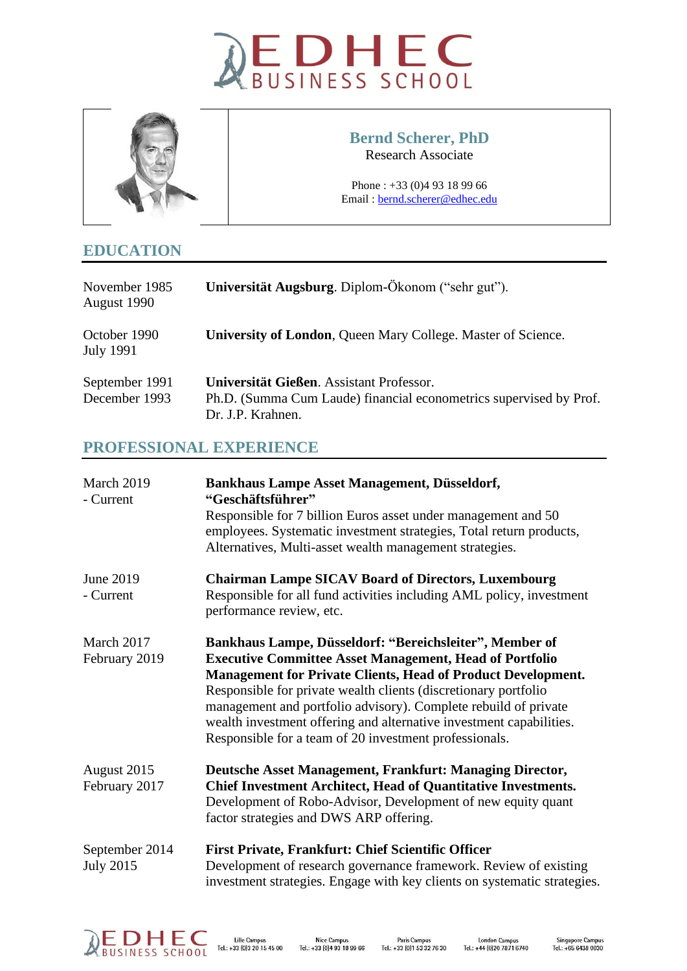



### **Bernd Scherer, PhD** Research Associate

Phone : +33 (0)4 93 18 99 66 Email [: bernd.scherer@edhec.edu](mailto:bernd.scherer@edhec.edu)

# **EDUCATION**

| November 1985<br>August 1990     | Universität Augsburg. Diplom-Ökonom ("sehr gut").                   |
|----------------------------------|---------------------------------------------------------------------|
| October 1990<br><b>July 1991</b> | <b>University of London, Queen Mary College. Master of Science.</b> |
| September 1991                   | Universität Gießen. Assistant Professor.                            |
| December 1993                    | Ph.D. (Summa Cum Laude) financial econometrics supervised by Prof.  |
|                                  | Dr. J.P. Krahnen.                                                   |

# **PROFESSIONAL EXPERIENCE**

| March 2019<br>- Current            | <b>Bankhaus Lampe Asset Management, Düsseldorf,</b><br>"Geschäftsführer"<br>Responsible for 7 billion Euros asset under management and 50<br>employees. Systematic investment strategies, Total return products,<br>Alternatives, Multi-asset wealth management strategies.                                                                                                                                                                                             |
|------------------------------------|-------------------------------------------------------------------------------------------------------------------------------------------------------------------------------------------------------------------------------------------------------------------------------------------------------------------------------------------------------------------------------------------------------------------------------------------------------------------------|
| June 2019<br>- Current             | <b>Chairman Lampe SICAV Board of Directors, Luxembourg</b><br>Responsible for all fund activities including AML policy, investment<br>performance review, etc.                                                                                                                                                                                                                                                                                                          |
| March 2017<br>February 2019        | Bankhaus Lampe, Düsseldorf: "Bereichsleiter", Member of<br><b>Executive Committee Asset Management, Head of Portfolio</b><br><b>Management for Private Clients, Head of Product Development.</b><br>Responsible for private wealth clients (discretionary portfolio<br>management and portfolio advisory). Complete rebuild of private<br>wealth investment offering and alternative investment capabilities.<br>Responsible for a team of 20 investment professionals. |
| August 2015<br>February 2017       | Deutsche Asset Management, Frankfurt: Managing Director,<br><b>Chief Investment Architect, Head of Quantitative Investments.</b><br>Development of Robo-Advisor, Development of new equity quant<br>factor strategies and DWS ARP offering.                                                                                                                                                                                                                             |
| September 2014<br><b>July 2015</b> | <b>First Private, Frankfurt: Chief Scientific Officer</b><br>Development of research governance framework. Review of existing<br>investment strategies. Engage with key clients on systematic strategies.                                                                                                                                                                                                                                                               |

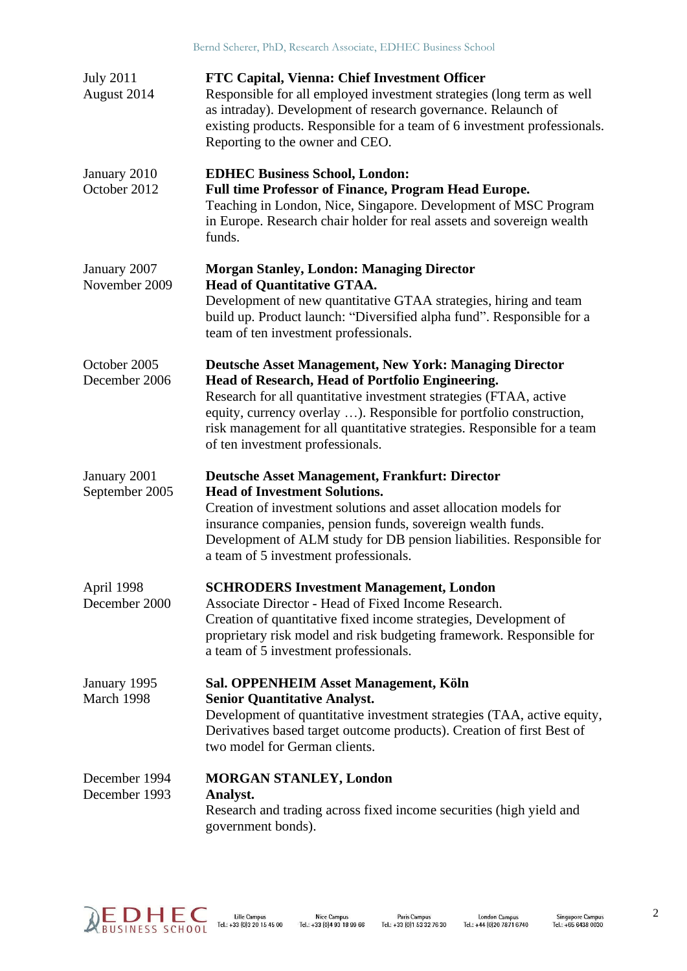| <b>July 2011</b><br>August 2014 | <b>FTC Capital, Vienna: Chief Investment Officer</b><br>Responsible for all employed investment strategies (long term as well<br>as intraday). Development of research governance. Relaunch of<br>existing products. Responsible for a team of 6 investment professionals.<br>Reporting to the owner and CEO.                                                                |
|---------------------------------|------------------------------------------------------------------------------------------------------------------------------------------------------------------------------------------------------------------------------------------------------------------------------------------------------------------------------------------------------------------------------|
| January 2010<br>October 2012    | <b>EDHEC Business School, London:</b><br><b>Full time Professor of Finance, Program Head Europe.</b><br>Teaching in London, Nice, Singapore. Development of MSC Program<br>in Europe. Research chair holder for real assets and sovereign wealth<br>funds.                                                                                                                   |
| January 2007<br>November 2009   | <b>Morgan Stanley, London: Managing Director</b><br><b>Head of Quantitative GTAA.</b><br>Development of new quantitative GTAA strategies, hiring and team<br>build up. Product launch: "Diversified alpha fund". Responsible for a<br>team of ten investment professionals.                                                                                                  |
| October 2005<br>December 2006   | <b>Deutsche Asset Management, New York: Managing Director</b><br>Head of Research, Head of Portfolio Engineering.<br>Research for all quantitative investment strategies (FTAA, active<br>equity, currency overlay ). Responsible for portfolio construction,<br>risk management for all quantitative strategies. Responsible for a team<br>of ten investment professionals. |
| January 2001<br>September 2005  | <b>Deutsche Asset Management, Frankfurt: Director</b><br><b>Head of Investment Solutions.</b><br>Creation of investment solutions and asset allocation models for<br>insurance companies, pension funds, sovereign wealth funds.<br>Development of ALM study for DB pension liabilities. Responsible for<br>a team of 5 investment professionals.                            |
| April 1998<br>December 2000     | <b>SCHRODERS Investment Management, London</b><br>Associate Director - Head of Fixed Income Research.<br>Creation of quantitative fixed income strategies, Development of<br>proprietary risk model and risk budgeting framework. Responsible for<br>a team of 5 investment professionals.                                                                                   |
| January 1995<br>March 1998      | Sal. OPPENHEIM Asset Management, Köln<br><b>Senior Quantitative Analyst.</b><br>Development of quantitative investment strategies (TAA, active equity,<br>Derivatives based target outcome products). Creation of first Best of<br>two model for German clients.                                                                                                             |
| December 1994<br>December 1993  | <b>MORGAN STANLEY, London</b><br>Analyst.<br>Research and trading across fixed income securities (high yield and<br>government bonds).                                                                                                                                                                                                                                       |

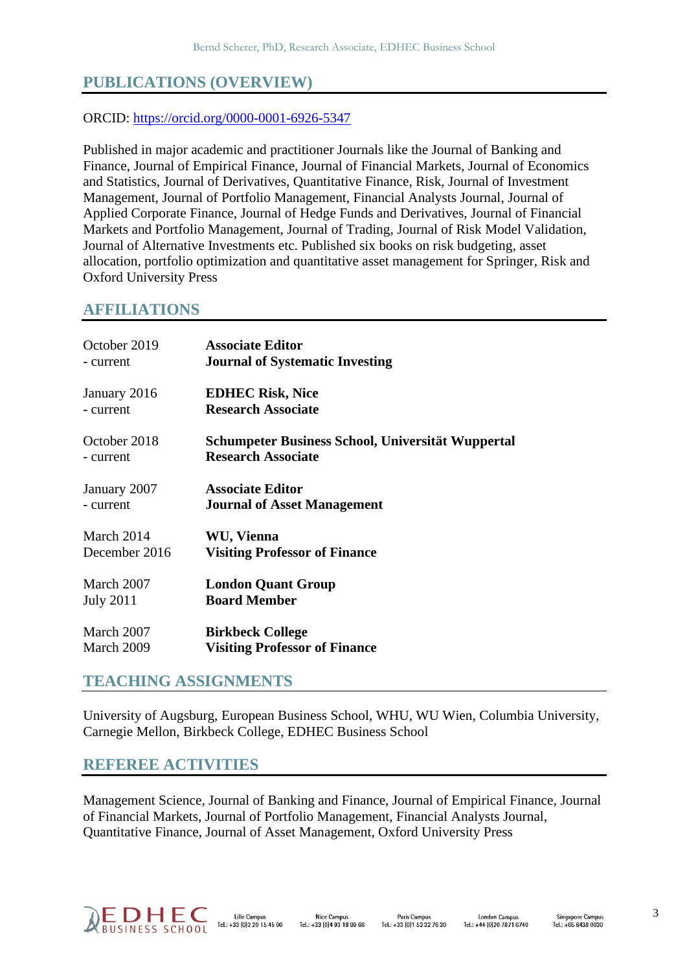# **PUBLICATIONS (OVERVIEW)**

#### ORCID:<https://orcid.org/0000-0001-6926-5347>

Published in major academic and practitioner Journals like the Journal of Banking and Finance, Journal of Empirical Finance, Journal of Financial Markets, Journal of Economics and Statistics, Journal of Derivatives, Quantitative Finance, Risk, Journal of Investment Management, Journal of Portfolio Management, Financial Analysts Journal, Journal of Applied Corporate Finance, Journal of Hedge Funds and Derivatives, Journal of Financial Markets and Portfolio Management, Journal of Trading, Journal of Risk Model Validation, Journal of Alternative Investments etc. Published six books on risk budgeting, asset allocation, portfolio optimization and quantitative asset management for Springer, Risk and Oxford University Press

#### **AFFILIATIONS**

| October 2019     | <b>Associate Editor</b>                           |
|------------------|---------------------------------------------------|
| - current        | <b>Journal of Systematic Investing</b>            |
| January 2016     | <b>EDHEC Risk, Nice</b>                           |
| - current        | <b>Research Associate</b>                         |
| October 2018     | Schumpeter Business School, Universität Wuppertal |
| - current        | <b>Research Associate</b>                         |
| January 2007     | <b>Associate Editor</b>                           |
| - current        | <b>Journal of Asset Management</b>                |
| March 2014       | WU, Vienna                                        |
| December 2016    | <b>Visiting Professor of Finance</b>              |
| March 2007       | <b>London Quant Group</b>                         |
| <b>July 2011</b> | <b>Board Member</b>                               |
| March 2007       | <b>Birkbeck College</b>                           |
| March 2009       | <b>Visiting Professor of Finance</b>              |

### **TEACHING ASSIGNMENTS**

University of Augsburg, European Business School, WHU, WU Wien, Columbia University, Carnegie Mellon, Birkbeck College, EDHEC Business School

### **REFEREE ACTIVITIES**

Management Science, Journal of Banking and Finance, Journal of Empirical Finance, Journal of Financial Markets, Journal of Portfolio Management, Financial Analysts Journal, Quantitative Finance, Journal of Asset Management, Oxford University Press